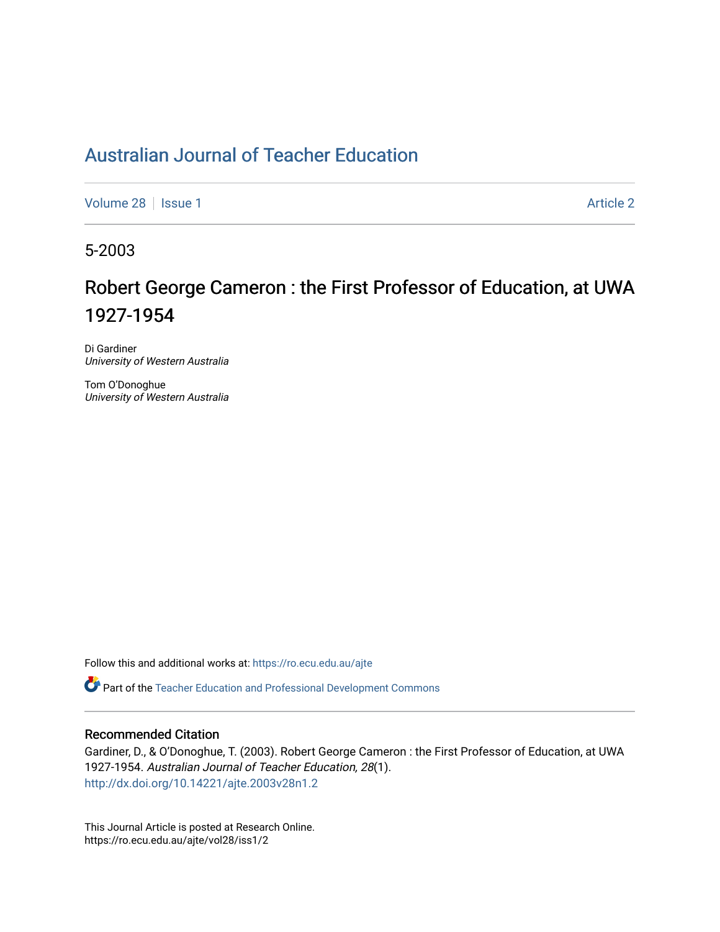# [Australian Journal of Teacher Education](https://ro.ecu.edu.au/ajte)

[Volume 28](https://ro.ecu.edu.au/ajte/vol28) | [Issue 1](https://ro.ecu.edu.au/ajte/vol28/iss1) Article 2

5-2003

# Robert George Cameron : the First Professor of Education, at UWA 1927-1954

Di Gardiner University of Western Australia

Tom O'Donoghue University of Western Australia

Follow this and additional works at: [https://ro.ecu.edu.au/ajte](https://ro.ecu.edu.au/ajte?utm_source=ro.ecu.edu.au%2Fajte%2Fvol28%2Fiss1%2F2&utm_medium=PDF&utm_campaign=PDFCoverPages) 

Part of the [Teacher Education and Professional Development Commons](http://network.bepress.com/hgg/discipline/803?utm_source=ro.ecu.edu.au%2Fajte%2Fvol28%2Fiss1%2F2&utm_medium=PDF&utm_campaign=PDFCoverPages)

#### Recommended Citation

Gardiner, D., & O'Donoghue, T. (2003). Robert George Cameron : the First Professor of Education, at UWA 1927-1954. Australian Journal of Teacher Education, 28(1). <http://dx.doi.org/10.14221/ajte.2003v28n1.2>

This Journal Article is posted at Research Online. https://ro.ecu.edu.au/ajte/vol28/iss1/2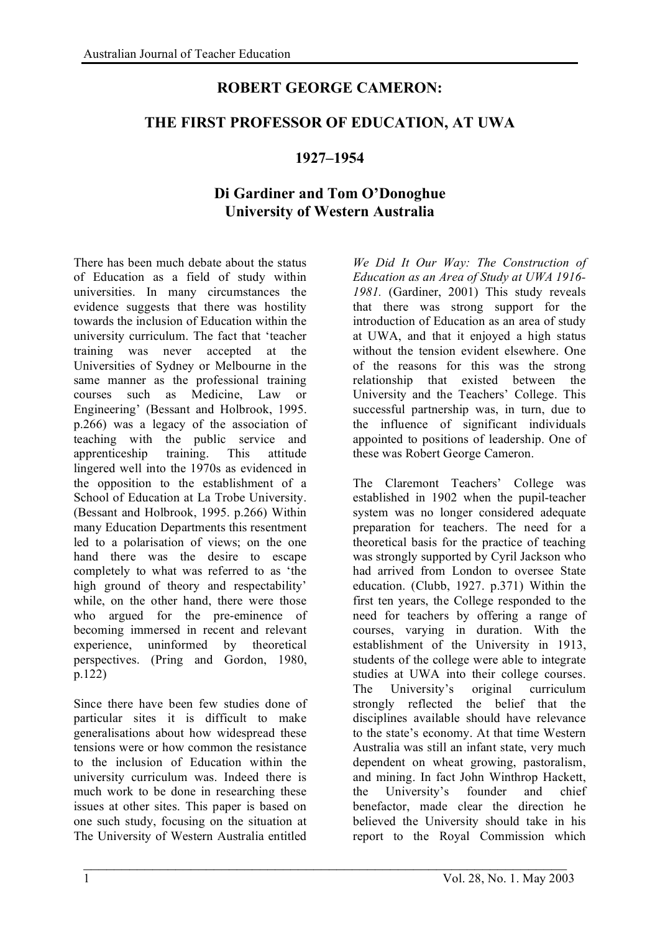### **ROBERT GEORGE CAMERON:**

#### **THE FIRST PROFESSOR OF EDUCATION, AT UWA**

#### **1927–1954**

## **Di Gardiner and Tom O'Donoghue University of Western Australia**

 $\mathcal{L}_\text{max} = \frac{1}{2} \sum_{i=1}^n \mathcal{L}_\text{max}(\mathbf{z}_i - \mathbf{z}_i)$ 

There has been much debate about the status of Education as a field of study within universities. In many circumstances the evidence suggests that there was hostility towards the inclusion of Education within the university curriculum. The fact that 'teacher training was never accepted at the Universities of Sydney or Melbourne in the same manner as the professional training courses such as Medicine, Law or Engineering' (Bessant and Holbrook, 1995. p.266) was a legacy of the association of teaching with the public service and apprenticeship training. This attitude lingered well into the 1970s as evidenced in the opposition to the establishment of a School of Education at La Trobe University. (Bessant and Holbrook, 1995. p.266) Within many Education Departments this resentment led to a polarisation of views; on the one hand there was the desire to escape completely to what was referred to as 'the high ground of theory and respectability' while, on the other hand, there were those who argued for the pre-eminence of becoming immersed in recent and relevant experience, uninformed by theoretical perspectives. (Pring and Gordon, 1980, p.122)

Since there have been few studies done of particular sites it is difficult to make generalisations about how widespread these tensions were or how common the resistance to the inclusion of Education within the university curriculum was. Indeed there is much work to be done in researching these issues at other sites. This paper is based on one such study, focusing on the situation at The University of Western Australia entitled

*We Did It Our Way: The Construction of Education as an Area of Study at UWA 1916- 1981.* (Gardiner, 2001) This study reveals that there was strong support for the introduction of Education as an area of study at UWA, and that it enjoyed a high status without the tension evident elsewhere. One of the reasons for this was the strong relationship that existed between the University and the Teachers' College. This successful partnership was, in turn, due to the influence of significant individuals appointed to positions of leadership. One of these was Robert George Cameron.

The Claremont Teachers' College was established in 1902 when the pupil-teacher system was no longer considered adequate preparation for teachers. The need for a theoretical basis for the practice of teaching was strongly supported by Cyril Jackson who had arrived from London to oversee State education. (Clubb, 1927. p.371) Within the first ten years, the College responded to the need for teachers by offering a range of courses, varying in duration. With the establishment of the University in 1913, students of the college were able to integrate studies at UWA into their college courses. The University's original curriculum strongly reflected the belief that the disciplines available should have relevance to the state's economy. At that time Western Australia was still an infant state, very much dependent on wheat growing, pastoralism, and mining. In fact John Winthrop Hackett, the University's founder and chief benefactor, made clear the direction he believed the University should take in his report to the Royal Commission which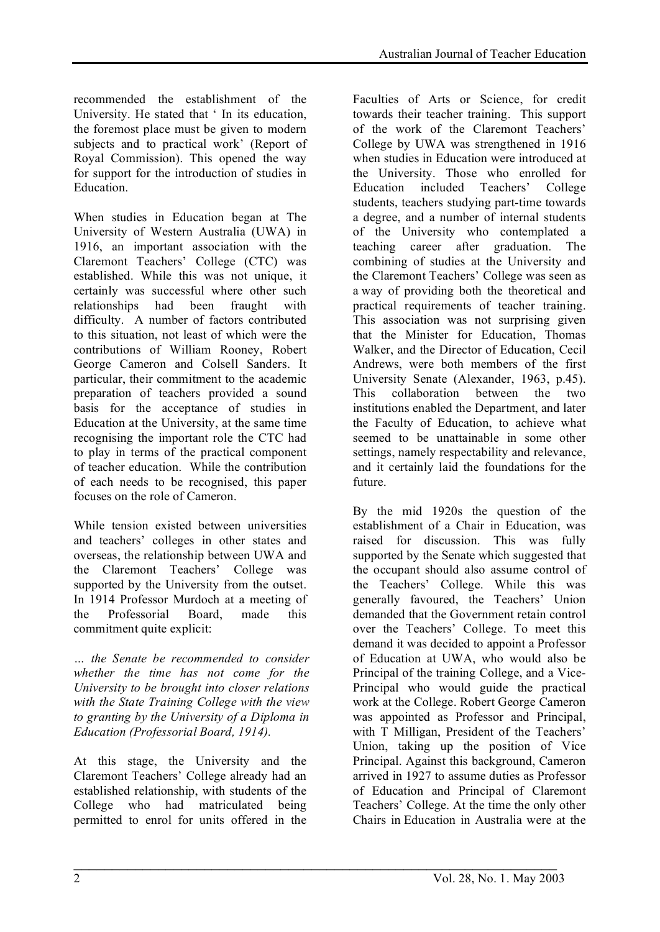recommended the establishment of the University. He stated that ' In its education, the foremost place must be given to modern subjects and to practical work' (Report of Royal Commission). This opened the way for support for the introduction of studies in **Education** 

When studies in Education began at The University of Western Australia (UWA) in 1916, an important association with the Claremont Teachers' College (CTC) was established. While this was not unique, it certainly was successful where other such relationships had been fraught with difficulty. A number of factors contributed to this situation, not least of which were the contributions of William Rooney, Robert George Cameron and Colsell Sanders. It particular, their commitment to the academic preparation of teachers provided a sound basis for the acceptance of studies in Education at the University, at the same time recognising the important role the CTC had to play in terms of the practical component of teacher education. While the contribution of each needs to be recognised, this paper focuses on the role of Cameron.

While tension existed between universities and teachers' colleges in other states and overseas, the relationship between UWA and the Claremont Teachers' College was supported by the University from the outset. In 1914 Professor Murdoch at a meeting of the Professorial Board, made this commitment quite explicit:

*… the Senate be recommended to consider whether the time has not come for the University to be brought into closer relations with the State Training College with the view to granting by the University of a Diploma in Education (Professorial Board, 1914).*

At this stage, the University and the Claremont Teachers' College already had an established relationship, with students of the College who had matriculated being permitted to enrol for units offered in the

Faculties of Arts or Science, for credit towards their teacher training. This support of the work of the Claremont Teachers' College by UWA was strengthened in 1916 when studies in Education were introduced at the University. Those who enrolled for Education included Teachers' College students, teachers studying part-time towards a degree, and a number of internal students of the University who contemplated a teaching career after graduation. The combining of studies at the University and the Claremont Teachers' College was seen as a way of providing both the theoretical and practical requirements of teacher training. This association was not surprising given that the Minister for Education, Thomas Walker, and the Director of Education, Cecil Andrews, were both members of the first University Senate (Alexander, 1963, p.45). This collaboration between the two institutions enabled the Department, and later the Faculty of Education, to achieve what seemed to be unattainable in some other settings, namely respectability and relevance, and it certainly laid the foundations for the future.

By the mid 1920s the question of the establishment of a Chair in Education, was raised for discussion. This was fully supported by the Senate which suggested that the occupant should also assume control of the Teachers' College. While this was generally favoured, the Teachers' Union demanded that the Government retain control over the Teachers' College. To meet this demand it was decided to appoint a Professor of Education at UWA, who would also be Principal of the training College, and a Vice-Principal who would guide the practical work at the College. Robert George Cameron was appointed as Professor and Principal, with T Milligan, President of the Teachers' Union, taking up the position of Vice Principal. Against this background, Cameron arrived in 1927 to assume duties as Professor of Education and Principal of Claremont Teachers' College. At the time the only other Chairs in Education in Australia were at the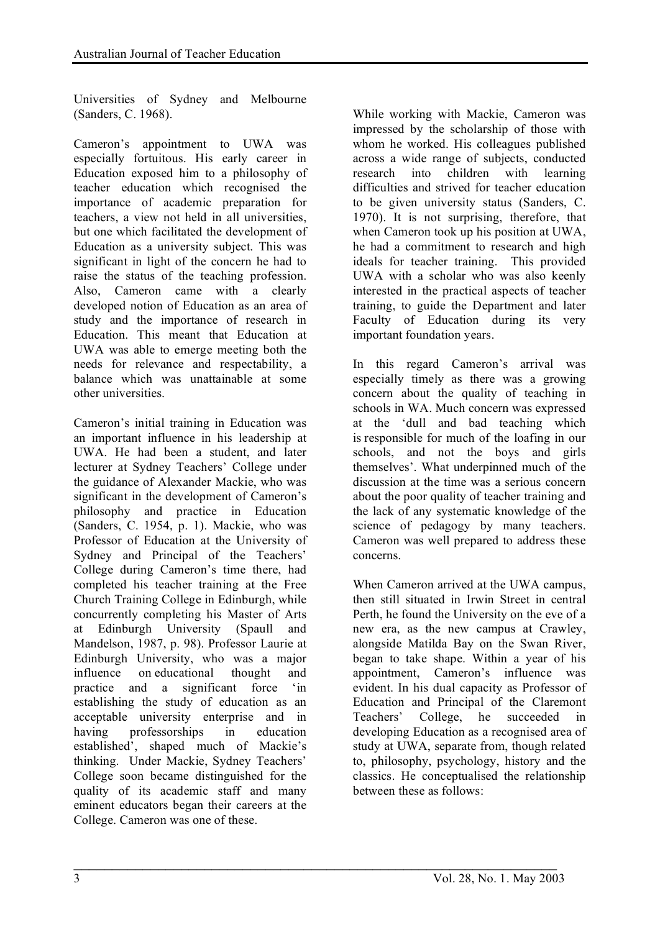Universities of Sydney and Melbourne (Sanders, C. 1968).

Cameron's appointment to UWA was especially fortuitous. His early career in Education exposed him to a philosophy of teacher education which recognised the importance of academic preparation for teachers, a view not held in all universities, but one which facilitated the development of Education as a university subject. This was significant in light of the concern he had to raise the status of the teaching profession. Also, Cameron came with a clearly developed notion of Education as an area of study and the importance of research in Education. This meant that Education at UWA was able to emerge meeting both the needs for relevance and respectability, a balance which was unattainable at some other universities.

Cameron's initial training in Education was an important influence in his leadership at UWA. He had been a student, and later lecturer at Sydney Teachers' College under the guidance of Alexander Mackie, who was significant in the development of Cameron's philosophy and practice in Education (Sanders, C. 1954, p. 1). Mackie, who was Professor of Education at the University of Sydney and Principal of the Teachers' College during Cameron's time there, had completed his teacher training at the Free Church Training College in Edinburgh, while concurrently completing his Master of Arts at Edinburgh University (Spaull and Mandelson, 1987, p. 98). Professor Laurie at Edinburgh University, who was a major influence on educational thought and practice and a significant force 'in establishing the study of education as an acceptable university enterprise and in having professorships in education established', shaped much of Mackie's thinking. Under Mackie, Sydney Teachers' College soon became distinguished for the quality of its academic staff and many eminent educators began their careers at the College. Cameron was one of these.

 $\mathcal{L}_\text{max} = \frac{1}{2} \sum_{i=1}^n \mathcal{L}_\text{max}(\mathbf{z}_i - \mathbf{z}_i)$ 

While working with Mackie, Cameron was impressed by the scholarship of those with whom he worked. His colleagues published across a wide range of subjects, conducted research into children with learning difficulties and strived for teacher education to be given university status (Sanders, C. 1970). It is not surprising, therefore, that when Cameron took up his position at UWA, he had a commitment to research and high ideals for teacher training. This provided UWA with a scholar who was also keenly interested in the practical aspects of teacher training, to guide the Department and later Faculty of Education during its very important foundation years.

In this regard Cameron's arrival was especially timely as there was a growing concern about the quality of teaching in schools in WA. Much concern was expressed at the 'dull and bad teaching which is responsible for much of the loafing in our schools, and not the boys and girls themselves'. What underpinned much of the discussion at the time was a serious concern about the poor quality of teacher training and the lack of any systematic knowledge of the science of pedagogy by many teachers. Cameron was well prepared to address these concerns.

When Cameron arrived at the UWA campus, then still situated in Irwin Street in central Perth, he found the University on the eve of a new era, as the new campus at Crawley, alongside Matilda Bay on the Swan River, began to take shape. Within a year of his appointment, Cameron's influence was evident. In his dual capacity as Professor of Education and Principal of the Claremont Teachers' College, he succeeded in developing Education as a recognised area of study at UWA, separate from, though related to, philosophy, psychology, history and the classics. He conceptualised the relationship between these as follows: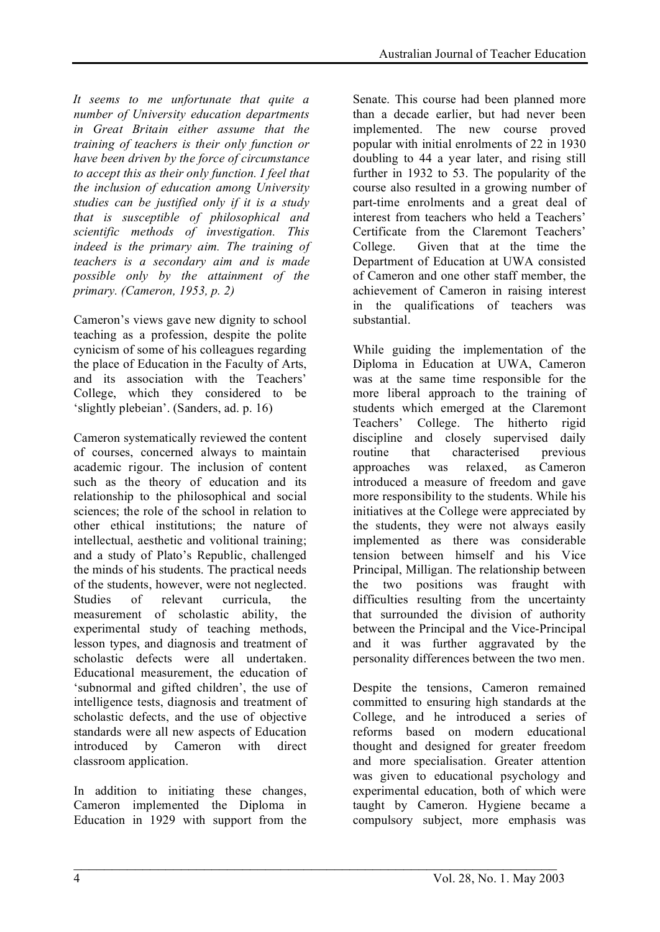*It seems to me unfortunate that quite a number of University education departments in Great Britain either assume that the training of teachers is their only function or have been driven by the force of circumstance to accept this as their only function. I feel that the inclusion of education among University studies can be justified only if it is a study that is susceptible of philosophical and scientific methods of investigation. This indeed is the primary aim. The training of teachers is a secondary aim and is made possible only by the attainment of the primary. (Cameron, 1953, p. 2)*

Cameron's views gave new dignity to school teaching as a profession, despite the polite cynicism of some of his colleagues regarding the place of Education in the Faculty of Arts, and its association with the Teachers' College, which they considered to be 'slightly plebeian'. (Sanders, ad. p. 16)

Cameron systematically reviewed the content of courses, concerned always to maintain academic rigour. The inclusion of content such as the theory of education and its relationship to the philosophical and social sciences; the role of the school in relation to other ethical institutions; the nature of intellectual, aesthetic and volitional training; and a study of Plato's Republic, challenged the minds of his students. The practical needs of the students, however, were not neglected. Studies of relevant curricula, the measurement of scholastic ability, the experimental study of teaching methods, lesson types, and diagnosis and treatment of scholastic defects were all undertaken. Educational measurement, the education of 'subnormal and gifted children', the use of intelligence tests, diagnosis and treatment of scholastic defects, and the use of objective standards were all new aspects of Education introduced by Cameron with direct classroom application.

In addition to initiating these changes, Cameron implemented the Diploma in Education in 1929 with support from the

Senate. This course had been planned more than a decade earlier, but had never been implemented. The new course proved popular with initial enrolments of 22 in 1930 doubling to 44 a year later, and rising still further in 1932 to 53. The popularity of the course also resulted in a growing number of part-time enrolments and a great deal of interest from teachers who held a Teachers' Certificate from the Claremont Teachers' College. Given that at the time the Department of Education at UWA consisted of Cameron and one other staff member, the achievement of Cameron in raising interest in the qualifications of teachers was substantial.

While guiding the implementation of the Diploma in Education at UWA, Cameron was at the same time responsible for the more liberal approach to the training of students which emerged at the Claremont Teachers' College. The hitherto rigid discipline and closely supervised daily routine that characterised previous approaches was relaxed, as Cameron introduced a measure of freedom and gave more responsibility to the students. While his initiatives at the College were appreciated by the students, they were not always easily implemented as there was considerable tension between himself and his Vice Principal, Milligan. The relationship between the two positions was fraught with difficulties resulting from the uncertainty that surrounded the division of authority between the Principal and the Vice-Principal and it was further aggravated by the personality differences between the two men.

Despite the tensions, Cameron remained committed to ensuring high standards at the College, and he introduced a series of reforms based on modern educational thought and designed for greater freedom and more specialisation. Greater attention was given to educational psychology and experimental education, both of which were taught by Cameron. Hygiene became a compulsory subject, more emphasis was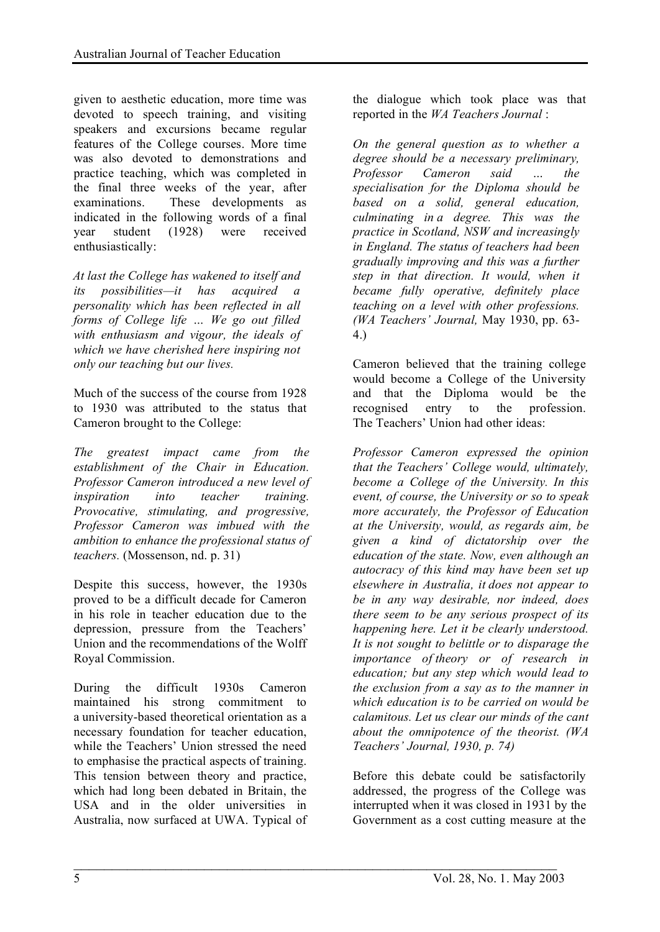given to aesthetic education, more time was devoted to speech training, and visiting speakers and excursions became regular features of the College courses. More time was also devoted to demonstrations and practice teaching, which was completed in the final three weeks of the year, after examinations. These developments as indicated in the following words of a final year student (1928) were received enthusiastically:

*At last the College has wakened to itself and its possibilities—it has acquired a personality which has been reflected in all forms of College life … We go out filled with enthusiasm and vigour, the ideals of which we have cherished here inspiring not only our teaching but our lives.*

Much of the success of the course from 1928 to 1930 was attributed to the status that Cameron brought to the College:

*The greatest impact came from the establishment of the Chair in Education. Professor Cameron introduced a new level of inspiration into teacher training. Provocative, stimulating, and progressive, Professor Cameron was imbued with the ambition to enhance the professional status of teachers.* (Mossenson, nd. p. 31)

Despite this success, however, the 1930s proved to be a difficult decade for Cameron in his role in teacher education due to the depression, pressure from the Teachers' Union and the recommendations of the Wolff Royal Commission.

During the difficult 1930s Cameron maintained his strong commitment to a university-based theoretical orientation as a necessary foundation for teacher education, while the Teachers' Union stressed the need to emphasise the practical aspects of training. This tension between theory and practice, which had long been debated in Britain, the USA and in the older universities in Australia, now surfaced at UWA. Typical of

 $\mathcal{L}_\text{max} = \frac{1}{2} \sum_{i=1}^n \mathcal{L}_\text{max}(\mathbf{z}_i - \mathbf{z}_i)$ 

the dialogue which took place was that reported in the *WA Teachers Journal* :

*On the general question as to whether a degree should be a necessary preliminary, Professor Cameron said … the specialisation for the Diploma should be based on a solid, general education, culminating in a degree. This was the practice in Scotland, NSW and increasingly in England. The status of teachers had been gradually improving and this was a further step in that direction. It would, when it became fully operative, definitely place teaching on a level with other professions. (WA Teachers' Journal,* May 1930, pp. 63- 4.)

Cameron believed that the training college would become a College of the University and that the Diploma would be the recognised entry to the profession. The Teachers' Union had other ideas:

*Professor Cameron expressed the opinion that the Teachers' College would, ultimately, become a College of the University. In this event, of course, the University or so to speak more accurately, the Professor of Education at the University, would, as regards aim, be given a kind of dictatorship over the education of the state. Now, even although an autocracy of this kind may have been set up elsewhere in Australia, it does not appear to be in any way desirable, nor indeed, does there seem to be any serious prospect of its happening here. Let it be clearly understood. It is not sought to belittle or to disparage the importance of theory or of research in education; but any step which would lead to the exclusion from a say as to the manner in which education is to be carried on would be calamitous. Let us clear our minds of the cant about the omnipotence of the theorist. (WA Teachers' Journal, 1930, p. 74)*

Before this debate could be satisfactorily addressed, the progress of the College was interrupted when it was closed in 1931 by the Government as a cost cutting measure at the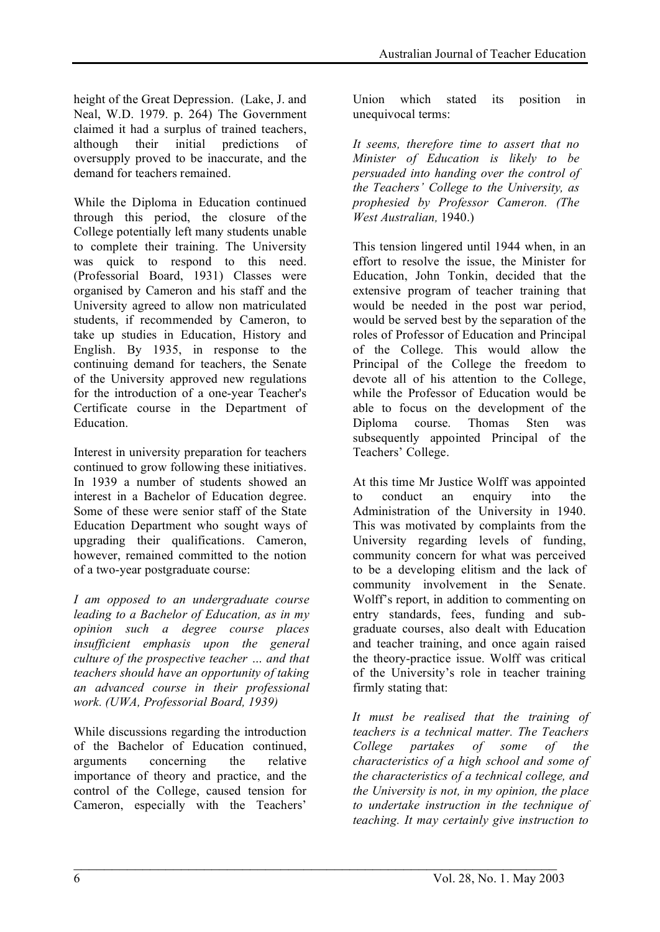height of the Great Depression. (Lake, J. and Neal, W.D. 1979. p. 264) The Government claimed it had a surplus of trained teachers, although their initial predictions of oversupply proved to be inaccurate, and the demand for teachers remained.

While the Diploma in Education continued through this period, the closure of the College potentially left many students unable to complete their training. The University was quick to respond to this need. (Professorial Board, 1931) Classes were organised by Cameron and his staff and the University agreed to allow non matriculated students, if recommended by Cameron, to take up studies in Education, History and English. By 1935, in response to the continuing demand for teachers, the Senate of the University approved new regulations for the introduction of a one-year Teacher's Certificate course in the Department of Education.

Interest in university preparation for teachers continued to grow following these initiatives. In 1939 a number of students showed an interest in a Bachelor of Education degree. Some of these were senior staff of the State Education Department who sought ways of upgrading their qualifications. Cameron, however, remained committed to the notion of a two-year postgraduate course:

*I am opposed to an undergraduate course leading to a Bachelor of Education, as in my opinion such a degree course places insufficient emphasis upon the general culture of the prospective teacher … and that teachers should have an opportunity of taking an advanced course in their professional work. (UWA, Professorial Board, 1939)*

While discussions regarding the introduction of the Bachelor of Education continued, arguments concerning the relative importance of theory and practice, and the control of the College, caused tension for Cameron, especially with the Teachers'

 $\mathcal{L}_\text{max} = \frac{1}{2} \sum_{i=1}^n \mathcal{L}_\text{max}(\mathbf{z}_i - \mathbf{z}_i)$ 

Union which stated its position in unequivocal terms:

*It seems, therefore time to assert that no Minister of Education is likely to be persuaded into handing over the control of the Teachers' College to the University, as prophesied by Professor Cameron. (The West Australian,* 1940.)

This tension lingered until 1944 when, in an effort to resolve the issue, the Minister for Education, John Tonkin, decided that the extensive program of teacher training that would be needed in the post war period, would be served best by the separation of the roles of Professor of Education and Principal of the College. This would allow the Principal of the College the freedom to devote all of his attention to the College, while the Professor of Education would be able to focus on the development of the Diploma course. Thomas Sten was subsequently appointed Principal of the Teachers' College.

At this time Mr Justice Wolff was appointed to conduct an enquiry into the Administration of the University in 1940. This was motivated by complaints from the University regarding levels of funding, community concern for what was perceived to be a developing elitism and the lack of community involvement in the Senate. Wolff's report, in addition to commenting on entry standards, fees, funding and subgraduate courses, also dealt with Education and teacher training, and once again raised the theory-practice issue. Wolff was critical of the University's role in teacher training firmly stating that:

*It must be realised that the training of teachers is a technical matter. The Teachers College partakes of some of the characteristics of a high school and some of the characteristics of a technical college, and the University is not, in my opinion, the place to undertake instruction in the technique of teaching. It may certainly give instruction to*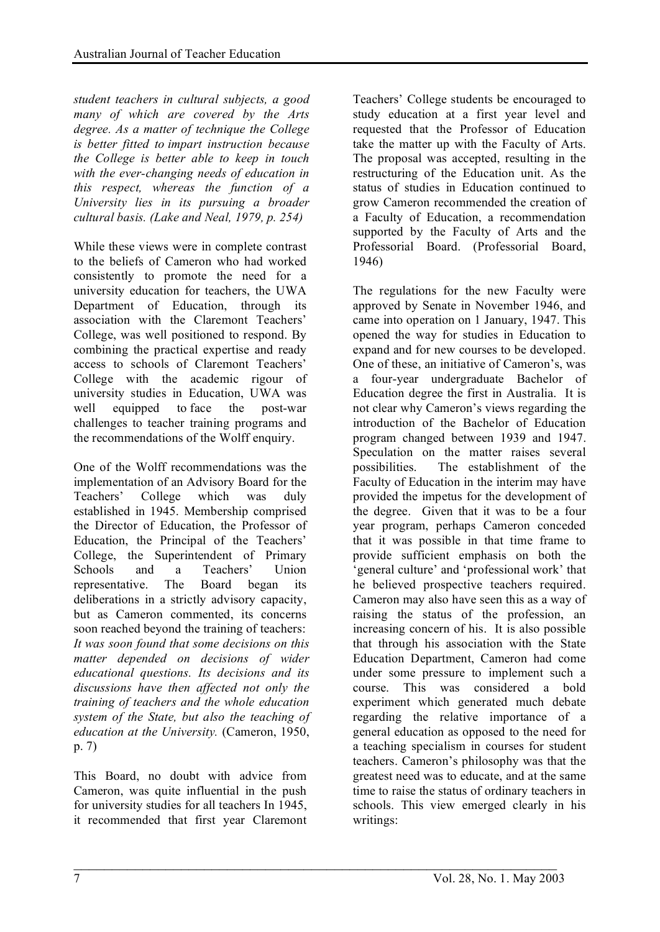*student teachers in cultural subjects, a good many of which are covered by the Arts degree. As a matter of technique the College is better fitted to impart instruction because the College is better able to keep in touch with the ever-changing needs of education in this respect, whereas the function of a University lies in its pursuing a broader cultural basis. (Lake and Neal, 1979, p. 254)*

While these views were in complete contrast to the beliefs of Cameron who had worked consistently to promote the need for a university education for teachers, the UWA Department of Education, through its association with the Claremont Teachers' College, was well positioned to respond. By combining the practical expertise and ready access to schools of Claremont Teachers' College with the academic rigour of university studies in Education, UWA was well equipped to face the post-war challenges to teacher training programs and the recommendations of the Wolff enquiry.

One of the Wolff recommendations was the implementation of an Advisory Board for the Teachers' College which was duly established in 1945. Membership comprised the Director of Education, the Professor of Education, the Principal of the Teachers' College, the Superintendent of Primary Schools and a Teachers' Union representative. The Board began its deliberations in a strictly advisory capacity, but as Cameron commented, its concerns soon reached beyond the training of teachers: *It was soon found that some decisions on this matter depended on decisions of wider educational questions. Its decisions and its discussions have then affected not only the training of teachers and the whole education system of the State, but also the teaching of education at the University.* (Cameron, 1950, p. 7)

This Board, no doubt with advice from Cameron, was quite influential in the push for university studies for all teachers In 1945, it recommended that first year Claremont

 $\mathcal{L}_\text{max} = \frac{1}{2} \sum_{i=1}^n \mathcal{L}_\text{max}(\mathbf{z}_i - \mathbf{z}_i)$ 

Teachers' College students be encouraged to study education at a first year level and requested that the Professor of Education take the matter up with the Faculty of Arts. The proposal was accepted, resulting in the restructuring of the Education unit. As the status of studies in Education continued to grow Cameron recommended the creation of a Faculty of Education, a recommendation supported by the Faculty of Arts and the Professorial Board. (Professorial Board, 1946)

The regulations for the new Faculty were approved by Senate in November 1946, and came into operation on 1 January, 1947. This opened the way for studies in Education to expand and for new courses to be developed. One of these, an initiative of Cameron's, was a four-year undergraduate Bachelor of Education degree the first in Australia. It is not clear why Cameron's views regarding the introduction of the Bachelor of Education program changed between 1939 and 1947. Speculation on the matter raises several possibilities. The establishment of the Faculty of Education in the interim may have provided the impetus for the development of the degree. Given that it was to be a four year program, perhaps Cameron conceded that it was possible in that time frame to provide sufficient emphasis on both the 'general culture' and 'professional work' that he believed prospective teachers required. Cameron may also have seen this as a way of raising the status of the profession, an increasing concern of his. It is also possible that through his association with the State Education Department, Cameron had come under some pressure to implement such a course. This was considered a bold experiment which generated much debate regarding the relative importance of a general education as opposed to the need for a teaching specialism in courses for student teachers. Cameron's philosophy was that the greatest need was to educate, and at the same time to raise the status of ordinary teachers in schools. This view emerged clearly in his writings: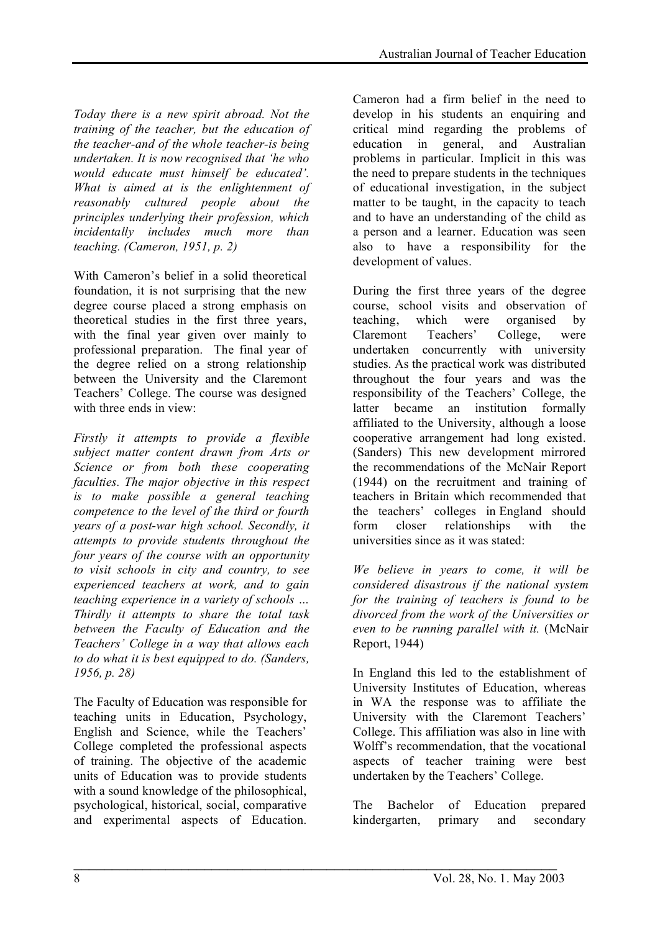*Today there is a new spirit abroad. Not the training of the teacher, but the education of the teacher-and of the whole teacher-is being undertaken. It is now recognised that 'he who would educate must himself be educated'. What is aimed at is the enlightenment of reasonably cultured people about the principles underlying their profession, which incidentally includes much more than teaching. (Cameron, 1951, p. 2)*

With Cameron's belief in a solid theoretical foundation, it is not surprising that the new degree course placed a strong emphasis on theoretical studies in the first three years, with the final year given over mainly to professional preparation. The final year of the degree relied on a strong relationship between the University and the Claremont Teachers' College. The course was designed with three ends in view:

*Firstly it attempts to provide a flexible subject matter content drawn from Arts or Science or from both these cooperating faculties. The major objective in this respect is to make possible a general teaching competence to the level of the third or fourth years of a post-war high school. Secondly, it attempts to provide students throughout the four years of the course with an opportunity to visit schools in city and country, to see experienced teachers at work, and to gain teaching experience in a variety of schools … Thirdly it attempts to share the total task between the Faculty of Education and the Teachers' College in a way that allows each to do what it is best equipped to do. (Sanders, 1956, p. 28)*

The Faculty of Education was responsible for teaching units in Education, Psychology, English and Science, while the Teachers' College completed the professional aspects of training. The objective of the academic units of Education was to provide students with a sound knowledge of the philosophical, psychological, historical, social, comparative and experimental aspects of Education.

 $\mathcal{L}_\text{max} = \frac{1}{2} \sum_{i=1}^n \mathcal{L}_\text{max}(\mathbf{z}_i - \mathbf{z}_i)$ 

Cameron had a firm belief in the need to develop in his students an enquiring and critical mind regarding the problems of education in general, and Australian problems in particular. Implicit in this was the need to prepare students in the techniques of educational investigation, in the subject matter to be taught, in the capacity to teach and to have an understanding of the child as a person and a learner. Education was seen also to have a responsibility for the development of values.

During the first three years of the degree course, school visits and observation of teaching, which were organised by Claremont Teachers' College, were undertaken concurrently with university studies. As the practical work was distributed throughout the four years and was the responsibility of the Teachers' College, the latter became an institution formally affiliated to the University, although a loose cooperative arrangement had long existed. (Sanders) This new development mirrored the recommendations of the McNair Report (1944) on the recruitment and training of teachers in Britain which recommended that the teachers' colleges in England should form closer relationships with the universities since as it was stated:

*We believe in years to come, it will be considered disastrous if the national system for the training of teachers is found to be divorced from the work of the Universities or even to be running parallel with it.* (McNair Report, 1944)

In England this led to the establishment of University Institutes of Education, whereas in WA the response was to affiliate the University with the Claremont Teachers' College. This affiliation was also in line with Wolff's recommendation, that the vocational aspects of teacher training were best undertaken by the Teachers' College.

The Bachelor of Education prepared kindergarten, primary and secondary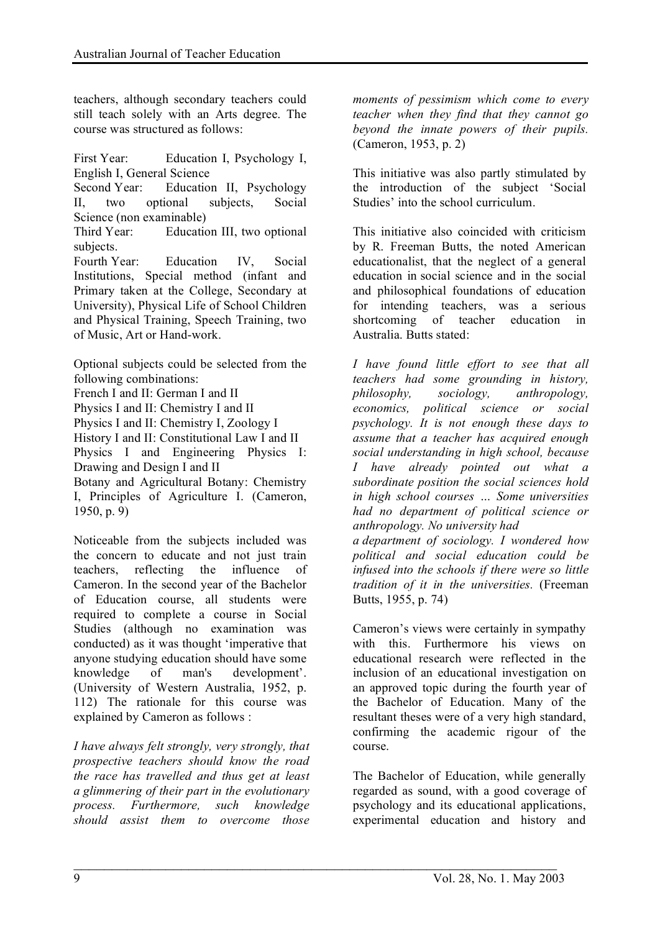teachers, although secondary teachers could still teach solely with an Arts degree. The course was structured as follows:

First Year: Education I, Psychology I, English I, General Science

Second Year: Education II, Psychology II, two optional subjects, Social Science (non examinable)

Third Year: Education III, two optional subjects.

Fourth Year: Education IV, Social Institutions, Special method (infant and Primary taken at the College, Secondary at University), Physical Life of School Children and Physical Training, Speech Training, two of Music, Art or Hand-work.

Optional subjects could be selected from the following combinations:

French I and II: German I and II Physics I and II: Chemistry I and II Physics I and II: Chemistry I, Zoology I History I and II: Constitutional Law I and II Physics I and Engineering Physics I: Drawing and Design I and II Botany and Agricultural Botany: Chemistry I, Principles of Agriculture I. (Cameron, 1950, p. 9)

Noticeable from the subjects included was the concern to educate and not just train teachers, reflecting the influence of Cameron. In the second year of the Bachelor of Education course, all students were required to complete a course in Social Studies (although no examination was conducted) as it was thought 'imperative that anyone studying education should have some knowledge of man's development'. (University of Western Australia, 1952, p. 112) The rationale for this course was explained by Cameron as follows :

*I have always felt strongly, very strongly, that prospective teachers should know the road the race has travelled and thus get at least a glimmering of their part in the evolutionary process. Furthermore, such knowledge should assist them to overcome those*

 $\mathcal{L}_\text{max} = \frac{1}{2} \sum_{i=1}^n \mathcal{L}_\text{max}(\mathbf{z}_i - \mathbf{z}_i)$ 

*moments of pessimism which come to every teacher when they find that they cannot go beyond the innate powers of their pupils.* (Cameron, 1953, p. 2)

This initiative was also partly stimulated by the introduction of the subject 'Social Studies' into the school curriculum.

This initiative also coincided with criticism by R. Freeman Butts, the noted American educationalist, that the neglect of a general education in social science and in the social and philosophical foundations of education for intending teachers, was a serious shortcoming of teacher education in Australia. Butts stated:

*I have found little effort to see that all teachers had some grounding in history, philosophy, sociology, anthropology, economics, political science or social psychology. It is not enough these days to assume that a teacher has acquired enough social understanding in high school, because I have already pointed out what a subordinate position the social sciences hold in high school courses … Some universities had no department of political science or anthropology. No university had a department of sociology. I wondered how political and social education could be infused into the schools if there were so little tradition of it in the universities.* (Freeman Butts, 1955, p. 74)

Cameron's views were certainly in sympathy with this. Furthermore his views on educational research were reflected in the inclusion of an educational investigation on an approved topic during the fourth year of the Bachelor of Education. Many of the resultant theses were of a very high standard, confirming the academic rigour of the course.

The Bachelor of Education, while generally regarded as sound, with a good coverage of psychology and its educational applications, experimental education and history and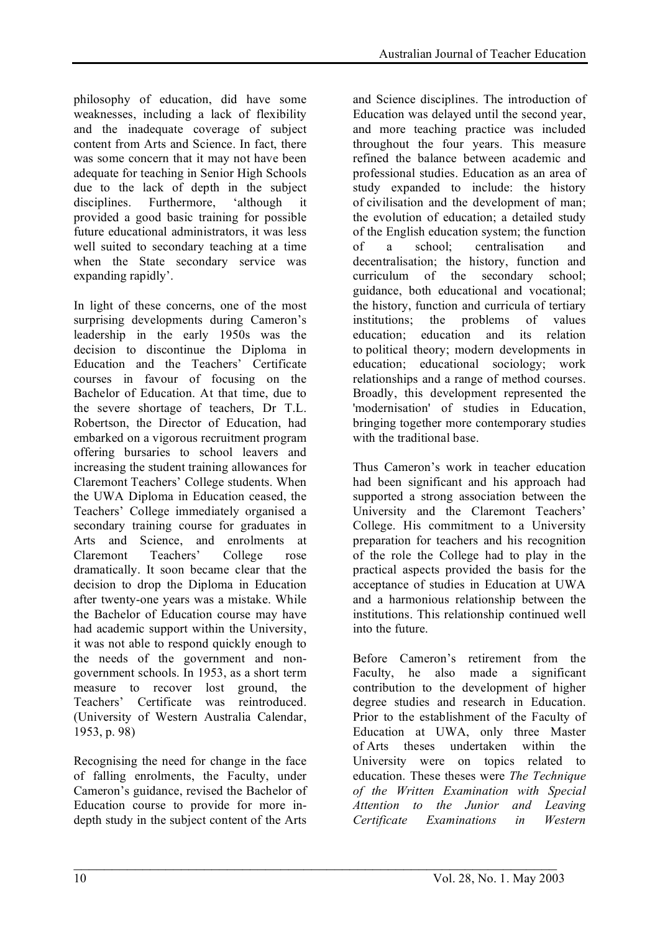philosophy of education, did have some weaknesses, including a lack of flexibility and the inadequate coverage of subject content from Arts and Science. In fact, there was some concern that it may not have been adequate for teaching in Senior High Schools due to the lack of depth in the subject disciplines. Furthermore, 'although it provided a good basic training for possible future educational administrators, it was less well suited to secondary teaching at a time when the State secondary service was expanding rapidly'.

In light of these concerns, one of the most surprising developments during Cameron's leadership in the early 1950s was the decision to discontinue the Diploma in Education and the Teachers' Certificate courses in favour of focusing on the Bachelor of Education. At that time, due to the severe shortage of teachers, Dr T.L. Robertson, the Director of Education, had embarked on a vigorous recruitment program offering bursaries to school leavers and increasing the student training allowances for Claremont Teachers' College students. When the UWA Diploma in Education ceased, the Teachers' College immediately organised a secondary training course for graduates in Arts and Science, and enrolments at Claremont Teachers' College rose dramatically. It soon became clear that the decision to drop the Diploma in Education after twenty-one years was a mistake. While the Bachelor of Education course may have had academic support within the University, it was not able to respond quickly enough to the needs of the government and nongovernment schools. In 1953, as a short term measure to recover lost ground, the Teachers' Certificate was reintroduced. (University of Western Australia Calendar, 1953, p. 98)

Recognising the need for change in the face of falling enrolments, the Faculty, under Cameron's guidance, revised the Bachelor of Education course to provide for more indepth study in the subject content of the Arts

and Science disciplines. The introduction of Education was delayed until the second year, and more teaching practice was included throughout the four years. This measure refined the balance between academic and professional studies. Education as an area of study expanded to include: the history of civilisation and the development of man; the evolution of education; a detailed study of the English education system; the function of a school; centralisation and decentralisation; the history, function and curriculum of the secondary school; guidance, both educational and vocational; the history, function and curricula of tertiary institutions; the problems of values education; education and its relation to political theory; modern developments in education; educational sociology; work relationships and a range of method courses. Broadly, this development represented the 'modernisation' of studies in Education, bringing together more contemporary studies with the traditional base

Thus Cameron's work in teacher education had been significant and his approach had supported a strong association between the University and the Claremont Teachers' College. His commitment to a University preparation for teachers and his recognition of the role the College had to play in the practical aspects provided the basis for the acceptance of studies in Education at UWA and a harmonious relationship between the institutions. This relationship continued well into the future.

Before Cameron's retirement from the Faculty, he also made a significant contribution to the development of higher degree studies and research in Education. Prior to the establishment of the Faculty of Education at UWA, only three Master of Arts theses undertaken within the University were on topics related to education. These theses were *The Technique of the Written Examination with Special Attention to the Junior and Leaving Certificate Examinations in Western*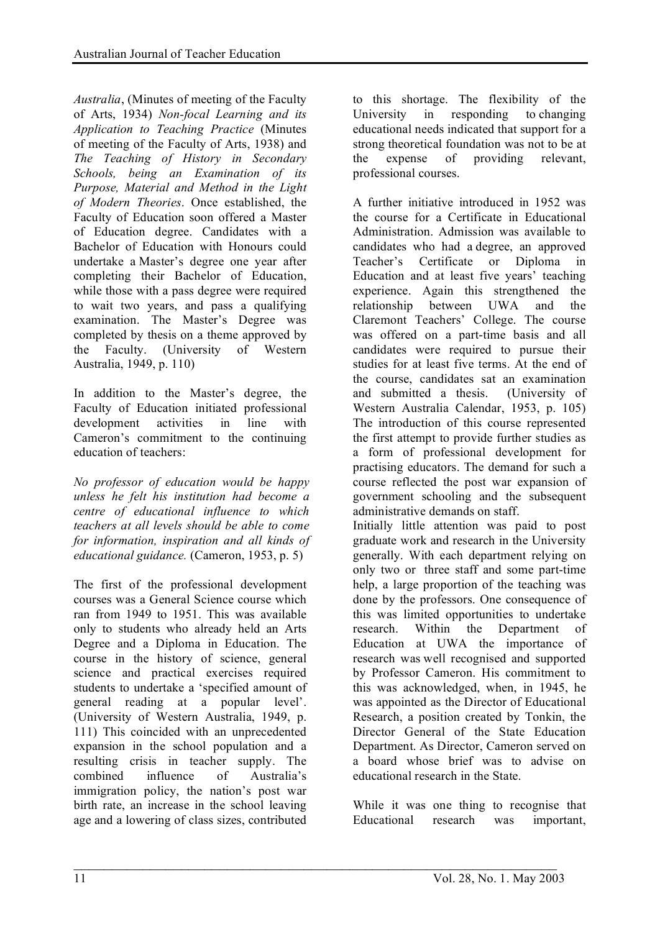*Australia*, (Minutes of meeting of the Faculty of Arts, 1934) *Non-focal Learning and its Application to Teaching Practice* (Minutes of meeting of the Faculty of Arts, 1938) and *The Teaching of History in Secondary Schools, being an Examination of its Purpose, Material and Method in the Light of Modern Theories*. Once established, the Faculty of Education soon offered a Master of Education degree. Candidates with a Bachelor of Education with Honours could undertake a Master's degree one year after completing their Bachelor of Education, while those with a pass degree were required to wait two years, and pass a qualifying examination. The Master's Degree was completed by thesis on a theme approved by the Faculty. (University of Western Australia, 1949, p. 110)

In addition to the Master's degree, the Faculty of Education initiated professional development activities in line with Cameron's commitment to the continuing education of teachers:

*No professor of education would be happy unless he felt his institution had become a centre of educational influence to which teachers at all levels should be able to come for information, inspiration and all kinds of educational guidance.* (Cameron, 1953, p. 5)

The first of the professional development courses was a General Science course which ran from 1949 to 1951. This was available only to students who already held an Arts Degree and a Diploma in Education. The course in the history of science, general science and practical exercises required students to undertake a 'specified amount of general reading at a popular level'. (University of Western Australia, 1949, p. 111) This coincided with an unprecedented expansion in the school population and a resulting crisis in teacher supply. The combined influence of Australia's immigration policy, the nation's post war birth rate, an increase in the school leaving age and a lowering of class sizes, contributed

 $\mathcal{L}_\text{max} = \frac{1}{2} \sum_{i=1}^n \mathcal{L}_\text{max}(\mathbf{z}_i - \mathbf{z}_i)$ 

to this shortage. The flexibility of the University in responding to changing educational needs indicated that support for a strong theoretical foundation was not to be at the expense of providing relevant, professional courses.

A further initiative introduced in 1952 was the course for a Certificate in Educational Administration. Admission was available to candidates who had a degree, an approved Teacher's Certificate or Diploma in Education and at least five years' teaching experience. Again this strengthened the relationship between UWA and the Claremont Teachers' College. The course was offered on a part-time basis and all candidates were required to pursue their studies for at least five terms. At the end of the course, candidates sat an examination and submitted a thesis. (University of Western Australia Calendar, 1953, p. 105) The introduction of this course represented the first attempt to provide further studies as a form of professional development for practising educators. The demand for such a course reflected the post war expansion of government schooling and the subsequent administrative demands on staff.

Initially little attention was paid to post graduate work and research in the University generally. With each department relying on only two or three staff and some part-time help, a large proportion of the teaching was done by the professors. One consequence of this was limited opportunities to undertake research. Within the Department of Education at UWA the importance of research was well recognised and supported by Professor Cameron. His commitment to this was acknowledged, when, in 1945, he was appointed as the Director of Educational Research, a position created by Tonkin, the Director General of the State Education Department. As Director, Cameron served on a board whose brief was to advise on educational research in the State.

While it was one thing to recognise that Educational research was important,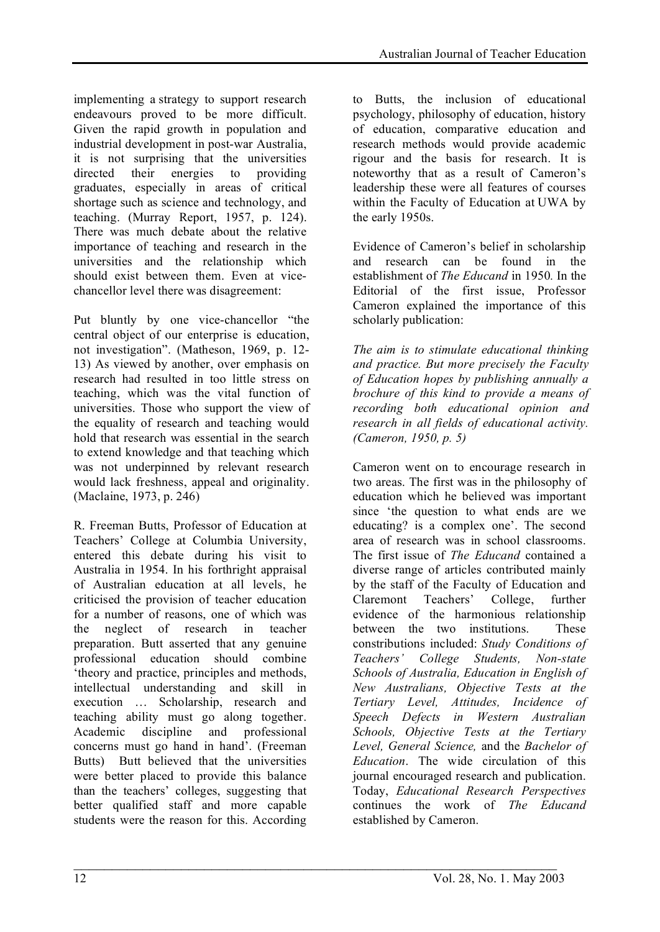implementing a strategy to support research endeavours proved to be more difficult. Given the rapid growth in population and industrial development in post-war Australia, it is not surprising that the universities directed their energies to providing graduates, especially in areas of critical shortage such as science and technology, and teaching. (Murray Report, 1957, p. 124). There was much debate about the relative importance of teaching and research in the universities and the relationship which should exist between them. Even at vicechancellor level there was disagreement:

Put bluntly by one vice-chancellor "the central object of our enterprise is education, not investigation". (Matheson, 1969, p. 12- 13) As viewed by another, over emphasis on research had resulted in too little stress on teaching, which was the vital function of universities. Those who support the view of the equality of research and teaching would hold that research was essential in the search to extend knowledge and that teaching which was not underpinned by relevant research would lack freshness, appeal and originality. (Maclaine, 1973, p. 246)

R. Freeman Butts, Professor of Education at Teachers' College at Columbia University, entered this debate during his visit to Australia in 1954. In his forthright appraisal of Australian education at all levels, he criticised the provision of teacher education for a number of reasons, one of which was the neglect of research in teacher preparation. Butt asserted that any genuine professional education should combine 'theory and practice, principles and methods, intellectual understanding and skill in execution … Scholarship, research and teaching ability must go along together. Academic discipline and professional concerns must go hand in hand'. (Freeman Butts) Butt believed that the universities were better placed to provide this balance than the teachers' colleges, suggesting that better qualified staff and more capable students were the reason for this. According

to Butts, the inclusion of educational psychology, philosophy of education, history of education, comparative education and research methods would provide academic rigour and the basis for research. It is noteworthy that as a result of Cameron's leadership these were all features of courses within the Faculty of Education at UWA by the early 1950s.

Evidence of Cameron's belief in scholarship and research can be found in the establishment of *The Educand* in 1950*.* In the Editorial of the first issue, Professor Cameron explained the importance of this scholarly publication:

*The aim is to stimulate educational thinking and practice. But more precisely the Faculty of Education hopes by publishing annually a brochure of this kind to provide a means of recording both educational opinion and research in all fields of educational activity. (Cameron, 1950, p. 5)*

Cameron went on to encourage research in two areas. The first was in the philosophy of education which he believed was important since 'the question to what ends are we educating? is a complex one'. The second area of research was in school classrooms. The first issue of *The Educand* contained a diverse range of articles contributed mainly by the staff of the Faculty of Education and Claremont Teachers' College, further evidence of the harmonious relationship between the two institutions. These constributions included: *Study Conditions of Teachers' College Students, Non-state Schools of Australia, Education in English of New Australians, Objective Tests at the Tertiary Level, Attitudes, Incidence of Speech Defects in Western Australian Schools, Objective Tests at the Tertiary Level, General Science,* and the *Bachelor of Education*. The wide circulation of this journal encouraged research and publication. Today, *Educational Research Perspectives* continues the work of *The Educand* established by Cameron.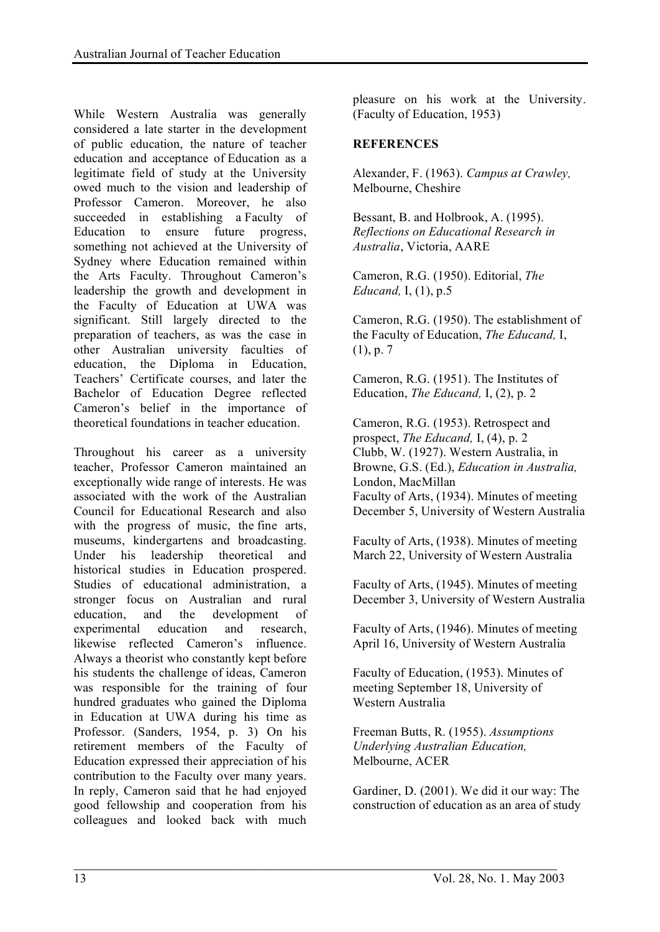While Western Australia was generally considered a late starter in the development of public education, the nature of teacher education and acceptance of Education as a legitimate field of study at the University owed much to the vision and leadership of Professor Cameron. Moreover, he also succeeded in establishing a Faculty of Education to ensure future progress, something not achieved at the University of Sydney where Education remained within the Arts Faculty. Throughout Cameron's leadership the growth and development in the Faculty of Education at UWA was significant. Still largely directed to the preparation of teachers, as was the case in other Australian university faculties of education, the Diploma in Education, Teachers' Certificate courses, and later the Bachelor of Education Degree reflected Cameron's belief in the importance of theoretical foundations in teacher education.

Throughout his career as a university teacher, Professor Cameron maintained an exceptionally wide range of interests. He was associated with the work of the Australian Council for Educational Research and also with the progress of music, the fine arts, museums, kindergartens and broadcasting. Under his leadership theoretical and historical studies in Education prospered. Studies of educational administration, a stronger focus on Australian and rural education, and the development of experimental education and research, likewise reflected Cameron's influence. Always a theorist who constantly kept before his students the challenge of ideas, Cameron was responsible for the training of four hundred graduates who gained the Diploma in Education at UWA during his time as Professor. (Sanders, 1954, p. 3) On his retirement members of the Faculty of Education expressed their appreciation of his contribution to the Faculty over many years. In reply, Cameron said that he had enjoyed good fellowship and cooperation from his colleagues and looked back with much

pleasure on his work at the University. (Faculty of Education, 1953)

#### **REFERENCES**

Alexander, F. (1963). *Campus at Crawley,* Melbourne, Cheshire

Bessant, B. and Holbrook, A. (1995). *Reflections on Educational Research in Australia*, Victoria, AARE

Cameron, R.G. (1950). Editorial, *The Educand,* I, (1), p.5

Cameron, R.G. (1950). The establishment of the Faculty of Education, *The Educand,* I, (1), p. 7

Cameron, R.G. (1951). The Institutes of Education, *The Educand,* I, (2), p. 2

Cameron, R.G. (1953). Retrospect and prospect, *The Educand,* I, (4), p. 2 Clubb, W. (1927). Western Australia, in Browne, G.S. (Ed.), *Education in Australia,* London, MacMillan Faculty of Arts, (1934). Minutes of meeting December 5, University of Western Australia

Faculty of Arts, (1938). Minutes of meeting March 22, University of Western Australia

Faculty of Arts, (1945). Minutes of meeting December 3, University of Western Australia

Faculty of Arts, (1946). Minutes of meeting April 16, University of Western Australia

Faculty of Education, (1953). Minutes of meeting September 18, University of Western Australia

Freeman Butts, R. (1955). *Assumptions Underlying Australian Education,* Melbourne, ACER

 $\mathcal{L}_\text{max} = \frac{1}{2} \sum_{i=1}^n \mathcal{L}_\text{max}(\mathbf{z}_i - \mathbf{z}_i)$ 

Gardiner, D. (2001). We did it our way: The construction of education as an area of study